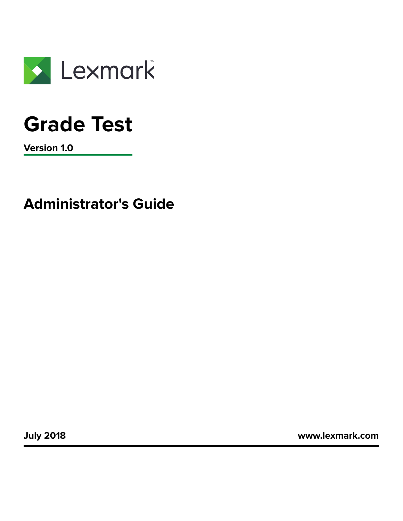

# **Grade Test**

**Version 1.0**

**Administrator's Guide**

**July 2018 [www.lexmark.com](http://www.lexmark.com)**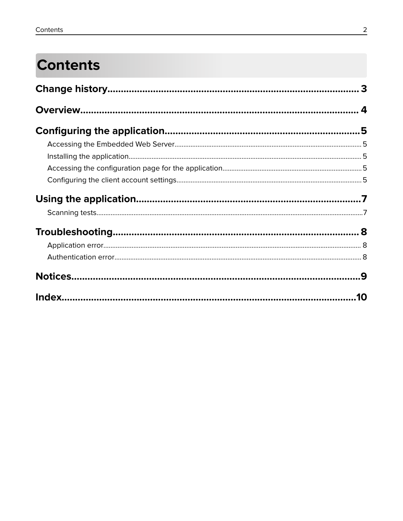## **Contents**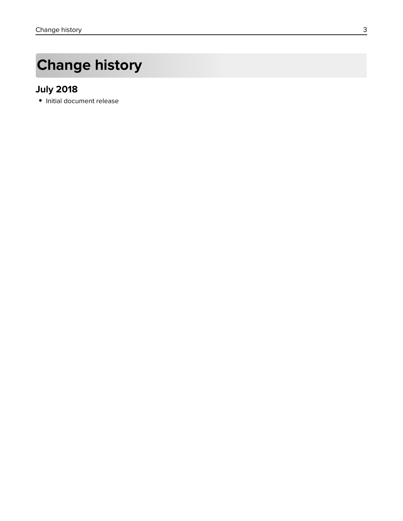## <span id="page-2-0"></span>**Change history**

### **July 2018**

**•** Initial document release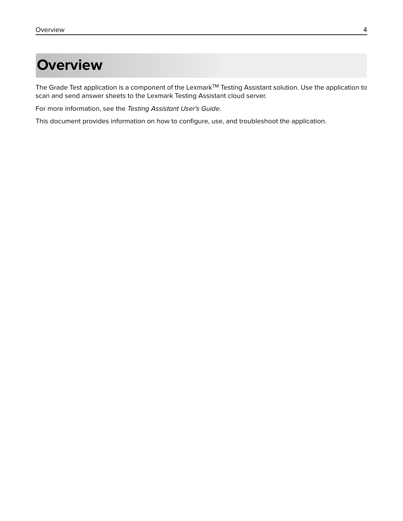## <span id="page-3-0"></span>**Overview**

The Grade Test application is a component of the Lexmark™ Testing Assistant solution. Use the application to scan and send answer sheets to the Lexmark Testing Assistant cloud server.

For more information, see the Testing Assistant User's Guide.

This document provides information on how to configure, use, and troubleshoot the application.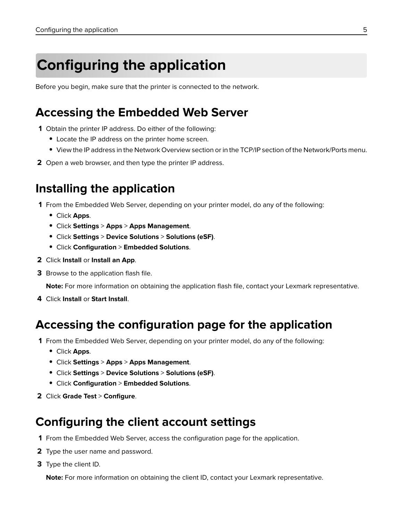## <span id="page-4-0"></span>**Configuring the application**

Before you begin, make sure that the printer is connected to the network.

### **Accessing the Embedded Web Server**

- **1** Obtain the printer IP address. Do either of the following:
	- **•** Locate the IP address on the printer home screen.
	- **•** View the IP address in the Network Overview section or in the TCP/IP section of the Network/Ports menu.
- **2** Open a web browser, and then type the printer IP address.

### **Installing the application**

**1** From the Embedded Web Server, depending on your printer model, do any of the following:

- **•** Click **Apps**.
- **•** Click **Settings** > **Apps** > **Apps Management**.
- **•** Click **Settings** > **Device Solutions** > **Solutions (eSF)**.
- **•** Click **Configuration** > **Embedded Solutions**.
- **2** Click **Install** or **Install an App**.
- **3** Browse to the application flash file.

**Note:** For more information on obtaining the application flash file, contact your Lexmark representative.

**4** Click **Install** or **Start Install**.

### **Accessing the configuration page for the application**

- **1** From the Embedded Web Server, depending on your printer model, do any of the following:
	- **•** Click **Apps**.
	- **•** Click **Settings** > **Apps** > **Apps Management**.
	- **•** Click **Settings** > **Device Solutions** > **Solutions (eSF)**.
	- **•** Click **Configuration** > **Embedded Solutions**.
- **2** Click **Grade Test** > **Configure**.

### **Configuring the client account settings**

- **1** From the Embedded Web Server, access the configuration page for the application.
- **2** Type the user name and password.
- **3** Type the client ID.

**Note:** For more information on obtaining the client ID, contact your Lexmark representative.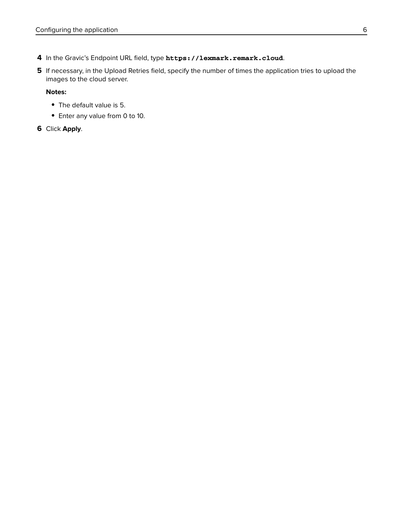- **4** In the Gravic's Endpoint URL field, type **https://lexmark.remark.cloud**.
- **5** If necessary, in the Upload Retries field, specify the number of times the application tries to upload the images to the cloud server.

#### **Notes:**

- **•** The default value is 5.
- **•** Enter any value from 0 to 10.

#### **6** Click **Apply**.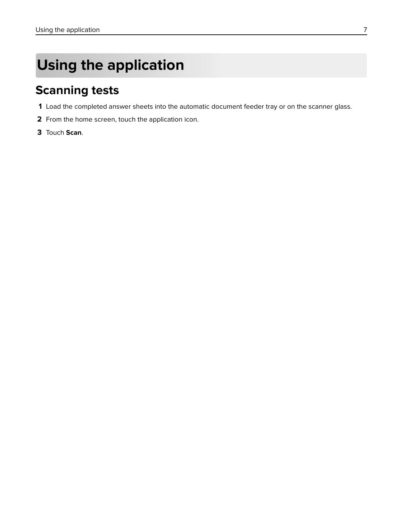## <span id="page-6-0"></span>**Using the application**

### **Scanning tests**

- **1** Load the completed answer sheets into the automatic document feeder tray or on the scanner glass.
- **2** From the home screen, touch the application icon.
- **3** Touch **Scan**.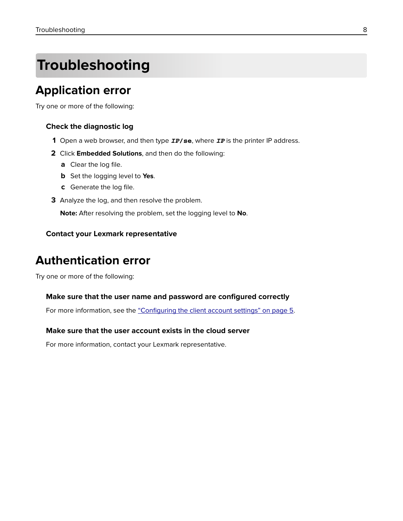## <span id="page-7-0"></span>**Troubleshooting**

### **Application error**

Try one or more of the following:

#### **Check the diagnostic log**

- **1** Open a web browser, and then type *IP***/se**, where *IP* is the printer IP address.
- **2** Click **Embedded Solutions**, and then do the following:
	- **a** Clear the log file.
	- **b** Set the logging level to **Yes**.
	- **c** Generate the log file.
- **3** Analyze the log, and then resolve the problem.

**Note:** After resolving the problem, set the logging level to **No**.

#### **Contact your Lexmark representative**

### **Authentication error**

Try one or more of the following:

#### **Make sure that the user name and password are configured correctly**

For more information, see the ["Configuring the client account settings" on page 5](#page-4-0).

#### **Make sure that the user account exists in the cloud server**

For more information, contact your Lexmark representative.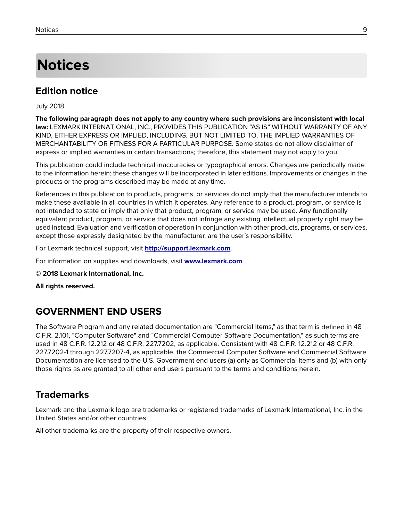## <span id="page-8-0"></span>**Notices**

### **Edition notice**

July 2018

**The following paragraph does not apply to any country where such provisions are inconsistent with local law:** LEXMARK INTERNATIONAL, INC., PROVIDES THIS PUBLICATION "AS IS" WITHOUT WARRANTY OF ANY KIND, EITHER EXPRESS OR IMPLIED, INCLUDING, BUT NOT LIMITED TO, THE IMPLIED WARRANTIES OF MERCHANTABILITY OR FITNESS FOR A PARTICULAR PURPOSE. Some states do not allow disclaimer of express or implied warranties in certain transactions; therefore, this statement may not apply to you.

This publication could include technical inaccuracies or typographical errors. Changes are periodically made to the information herein; these changes will be incorporated in later editions. Improvements or changes in the products or the programs described may be made at any time.

References in this publication to products, programs, or services do not imply that the manufacturer intends to make these available in all countries in which it operates. Any reference to a product, program, or service is not intended to state or imply that only that product, program, or service may be used. Any functionally equivalent product, program, or service that does not infringe any existing intellectual property right may be used instead. Evaluation and verification of operation in conjunction with other products, programs, or services, except those expressly designated by the manufacturer, are the user's responsibility.

For Lexmark technical support, visit **<http://support.lexmark.com>**.

For information on supplies and downloads, visit **[www.lexmark.com](http://www.lexmark.com)**.

**© 2018 Lexmark International, Inc.**

**All rights reserved.**

### **GOVERNMENT END USERS**

The Software Program and any related documentation are "Commercial Items," as that term is defined in 48 C.F.R. 2.101, "Computer Software" and "Commercial Computer Software Documentation," as such terms are used in 48 C.F.R. 12.212 or 48 C.F.R. 227.7202, as applicable. Consistent with 48 C.F.R. 12.212 or 48 C.F.R. 227.7202-1 through 227.7207-4, as applicable, the Commercial Computer Software and Commercial Software Documentation are licensed to the U.S. Government end users (a) only as Commercial Items and (b) with only those rights as are granted to all other end users pursuant to the terms and conditions herein.

### **Trademarks**

Lexmark and the Lexmark logo are trademarks or registered trademarks of Lexmark International, Inc. in the United States and/or other countries.

All other trademarks are the property of their respective owners.